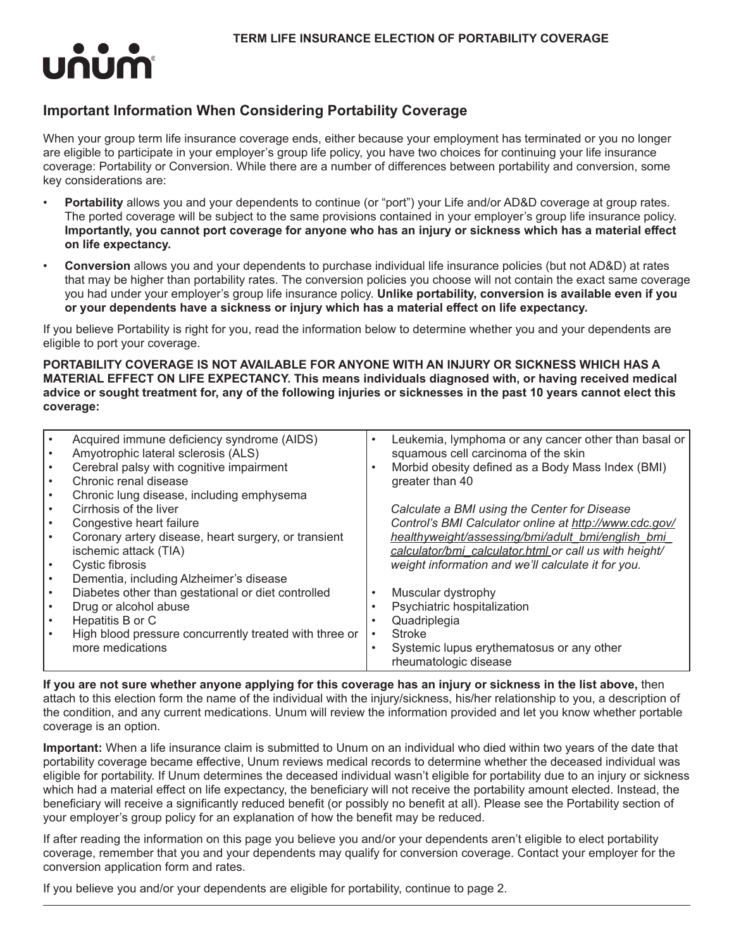

# **Important Information When Considering Portability Coverage**

When your group term life insurance coverage ends, either because your employment has terminated or you no longer are eligible to participate in your employer's group life policy, you have two choices for continuing your life insurance coverage: Portability or Conversion. While there are a number of differences between portability and conversion, some key considerations are:

- **Portability** allows you and your dependents to continue (or "port") your Life and/or AD&D coverage at group rates. The ported coverage will be subject to the same provisions contained in your employer's group life insurance policy. **Importantly, you cannot port coverage for anyone who has an injury or sickness which has a material effect on life expectancy.**
- **Conversion** allows you and your dependents to purchase individual life insurance policies (but not AD&D) at rates that may be higher than portability rates. The conversion policies you choose will not contain the exact same coverage you had under your employer's group life insurance policy. **Unlike portability, conversion is available even if you or your dependents have a sickness or injury which has a material effect on life expectancy.**

If you believe Portability is right for you, read the information below to determine whether you and your dependents are eligible to port your coverage.

**PORTABILITY COVERAGE IS NOT AVAILABLE FOR ANYONE WITH AN INJURY OR SICKNESS WHICH HAS A MATERIAL EFFECT ON LIFE EXPECTANCY. This means individuals diagnosed with, or having received medical advice or sought treatment for, any of the following injuries or sicknesses in the past 10 years cannot elect this coverage:**

| Acquired immune deficiency syndrome (AIDS)<br>Amyotrophic lateral sclerosis (ALS) | $\bullet$ | Leukemia, lymphoma or any cancer other than basal or<br>squamous cell carcinoma of the skin |
|-----------------------------------------------------------------------------------|-----------|---------------------------------------------------------------------------------------------|
| Cerebral palsy with cognitive impairment                                          | $\bullet$ | Morbid obesity defined as a Body Mass Index (BMI)                                           |
| Chronic renal disease                                                             |           |                                                                                             |
|                                                                                   |           | greater than 40                                                                             |
| Chronic lung disease, including emphysema                                         |           |                                                                                             |
| Cirrhosis of the liver                                                            |           | Calculate a BMI using the Center for Disease                                                |
| Congestive heart failure                                                          |           | Control's BMI Calculator online at http://www.cdc.gov/                                      |
| Coronary artery disease, heart surgery, or transient                              |           | healthyweight/assessing/bmi/adult_bmi/english_bmi                                           |
| ischemic attack (TIA)                                                             |           | calculator/bmi_calculator.html_or call us with height/                                      |
| Cystic fibrosis                                                                   |           | weight information and we'll calculate it for you.                                          |
| Dementia, including Alzheimer's disease                                           |           |                                                                                             |
| Diabetes other than gestational or diet controlled                                | $\bullet$ | Muscular dystrophy                                                                          |
| Drug or alcohol abuse                                                             |           | Psychiatric hospitalization                                                                 |
| Hepatitis B or C                                                                  |           | Quadriplegia                                                                                |
| High blood pressure concurrently treated with three or                            | $\bullet$ | <b>Stroke</b>                                                                               |
| more medications                                                                  | $\bullet$ | Systemic lupus erythematosus or any other                                                   |
|                                                                                   |           | rheumatologic disease                                                                       |

**If you are not sure whether anyone applying for this coverage has an injury or sickness in the list above,** then attach to this election form the name of the individual with the injury/sickness, his/her relationship to you, a description of the condition, and any current medications. Unum will review the information provided and let you know whether portable coverage is an option.

**Important:** When a life insurance claim is submitted to Unum on an individual who died within two years of the date that portability coverage became effective, Unum reviews medical records to determine whether the deceased individual was eligible for portability. If Unum determines the deceased individual wasn't eligible for portability due to an injury or sickness which had a material effect on life expectancy, the beneficiary will not receive the portability amount elected. Instead, the beneficiary will receive a significantly reduced benefit (or possibly no benefit at all). Please see the Portability section of your employer's group policy for an explanation of how the benefit may be reduced.

If after reading the information on this page you believe you and/or your dependents aren't eligible to elect portability coverage, remember that you and your dependents may qualify for conversion coverage. Contact your employer for the conversion application form and rates.

If you believe you and/or your dependents are eligible for portability, continue to page 2.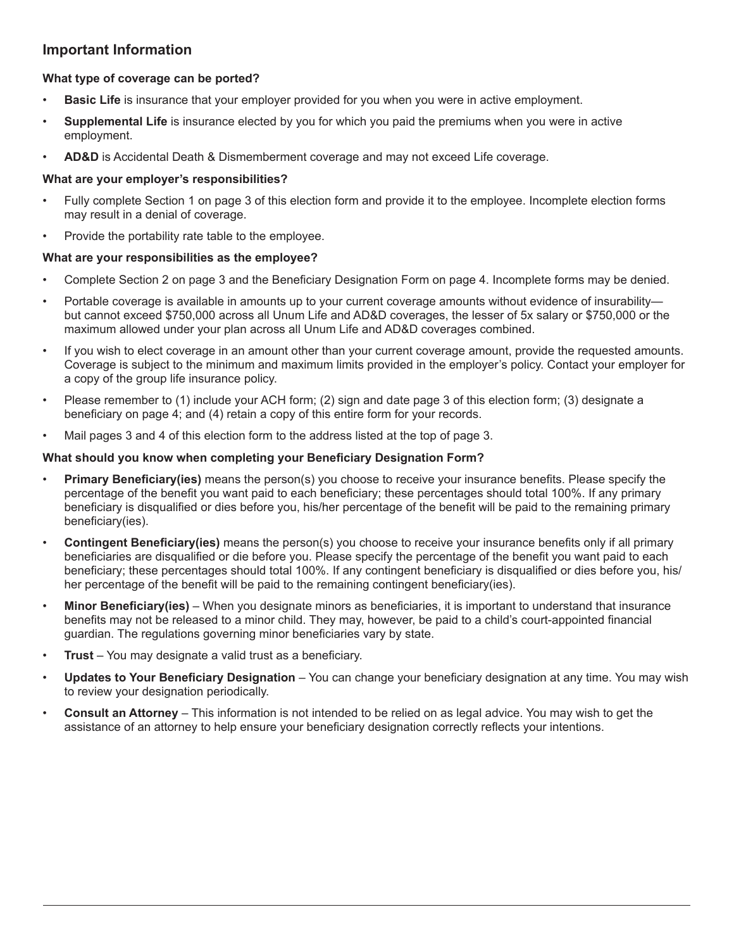# **Important Information**

# **What type of coverage can be ported?**

- **Basic Life** is insurance that your employer provided for you when you were in active employment.
- **Supplemental Life** is insurance elected by you for which you paid the premiums when you were in active employment.
- **AD&D** is Accidental Death & Dismemberment coverage and may not exceed Life coverage.

#### **What are your employer's responsibilities?**

- Fully complete Section 1 on page 3 of this election form and provide it to the employee. Incomplete election forms may result in a denial of coverage.
- Provide the portability rate table to the employee.

### **What are your responsibilities as the employee?**

- Complete Section 2 on page 3 and the Beneficiary Designation Form on page 4. Incomplete forms may be denied.
- Portable coverage is available in amounts up to your current coverage amounts without evidence of insurability but cannot exceed \$750,000 across all Unum Life and AD&D coverages, the lesser of 5x salary or \$750,000 or the maximum allowed under your plan across all Unum Life and AD&D coverages combined.
- If you wish to elect coverage in an amount other than your current coverage amount, provide the requested amounts. Coverage is subject to the minimum and maximum limits provided in the employer's policy. Contact your employer for a copy of the group life insurance policy.
- Please remember to (1) include your ACH form; (2) sign and date page 3 of this election form; (3) designate a beneficiary on page 4; and (4) retain a copy of this entire form for your records.
- Mail pages 3 and 4 of this election form to the address listed at the top of page 3.

### **What should you know when completing your Beneficiary Designation Form?**

- **Primary Beneficiary(ies)** means the person(s) you choose to receive your insurance benefits. Please specify the percentage of the benefit you want paid to each beneficiary; these percentages should total 100%. If any primary beneficiary is disqualified or dies before you, his/her percentage of the benefit will be paid to the remaining primary beneficiary(ies).
- **Contingent Beneficiary(ies)** means the person(s) you choose to receive your insurance benefits only if all primary beneficiaries are disqualified or die before you. Please specify the percentage of the benefit you want paid to each beneficiary; these percentages should total 100%. If any contingent beneficiary is disqualified or dies before you, his/ her percentage of the benefit will be paid to the remaining contingent beneficiary(ies).
- **Minor Beneficiary(ies)**  When you designate minors as beneficiaries, it is important to understand that insurance benefits may not be released to a minor child. They may, however, be paid to a child's court-appointed financial guardian. The regulations governing minor beneficiaries vary by state.
- **Trust**  You may designate a valid trust as a beneficiary.
- **Updates to Your Beneficiary Designation**  You can change your beneficiary designation at any time. You may wish to review your designation periodically.
- **Consult an Attorney** This information is not intended to be relied on as legal advice. You may wish to get the assistance of an attorney to help ensure your beneficiary designation correctly reflects your intentions.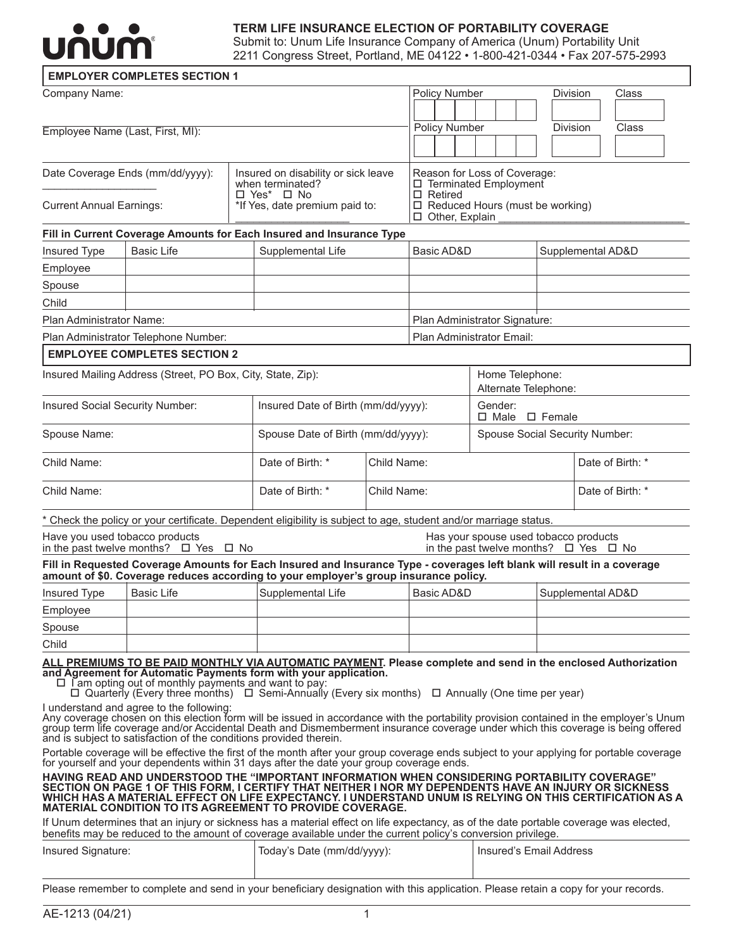

# **TERM LIFE INSURANCE ELECTION OF PORTABILITY COVERAGE**

Submit to: Unum Life Insurance Company of America (Unum) Portability Unit **2211 Congress Street, Portland, ME 04122 • 1-800-421-0344 • Fax 207-575-2993** 

| Company Name:                   |                                                                                                                                                                               |  |                                                                                                                                                                                                                                                                                                                                                                                                                                                                                                                                             |             | Policy Number                                           |  |                                      |                                |                 |  | <b>Division</b>                        |                  | Class                                           |  |
|---------------------------------|-------------------------------------------------------------------------------------------------------------------------------------------------------------------------------|--|---------------------------------------------------------------------------------------------------------------------------------------------------------------------------------------------------------------------------------------------------------------------------------------------------------------------------------------------------------------------------------------------------------------------------------------------------------------------------------------------------------------------------------------------|-------------|---------------------------------------------------------|--|--------------------------------------|--------------------------------|-----------------|--|----------------------------------------|------------------|-------------------------------------------------|--|
|                                 |                                                                                                                                                                               |  |                                                                                                                                                                                                                                                                                                                                                                                                                                                                                                                                             |             |                                                         |  |                                      |                                |                 |  |                                        |                  |                                                 |  |
|                                 | Employee Name (Last, First, MI):                                                                                                                                              |  |                                                                                                                                                                                                                                                                                                                                                                                                                                                                                                                                             |             | Policy Number                                           |  |                                      |                                |                 |  | <b>Division</b>                        |                  | Class                                           |  |
|                                 |                                                                                                                                                                               |  |                                                                                                                                                                                                                                                                                                                                                                                                                                                                                                                                             |             |                                                         |  |                                      |                                |                 |  |                                        |                  |                                                 |  |
|                                 | Date Coverage Ends (mm/dd/yyyy):                                                                                                                                              |  | Insured on disability or sick leave<br>when terminated?                                                                                                                                                                                                                                                                                                                                                                                                                                                                                     |             | Reason for Loss of Coverage:<br>□ Terminated Employment |  |                                      |                                |                 |  |                                        |                  |                                                 |  |
| <b>Current Annual Earnings:</b> |                                                                                                                                                                               |  | $\Box$ Yes* $\Box$ No<br>*If Yes, date premium paid to:                                                                                                                                                                                                                                                                                                                                                                                                                                                                                     |             | $\Box$ Retired<br>□ Other, Explain                      |  |                                      |                                |                 |  | $\Box$ Reduced Hours (must be working) |                  |                                                 |  |
|                                 |                                                                                                                                                                               |  | Fill in Current Coverage Amounts for Each Insured and Insurance Type                                                                                                                                                                                                                                                                                                                                                                                                                                                                        |             |                                                         |  |                                      |                                |                 |  |                                        |                  |                                                 |  |
| Insured Type                    | <b>Basic Life</b>                                                                                                                                                             |  | Supplemental Life                                                                                                                                                                                                                                                                                                                                                                                                                                                                                                                           |             | Basic AD&D                                              |  |                                      |                                |                 |  |                                        |                  | Supplemental AD&D                               |  |
| Employee                        |                                                                                                                                                                               |  |                                                                                                                                                                                                                                                                                                                                                                                                                                                                                                                                             |             |                                                         |  |                                      |                                |                 |  |                                        |                  |                                                 |  |
| Spouse                          |                                                                                                                                                                               |  |                                                                                                                                                                                                                                                                                                                                                                                                                                                                                                                                             |             |                                                         |  |                                      |                                |                 |  |                                        |                  |                                                 |  |
| Child                           |                                                                                                                                                                               |  |                                                                                                                                                                                                                                                                                                                                                                                                                                                                                                                                             |             |                                                         |  |                                      |                                |                 |  |                                        |                  |                                                 |  |
| Plan Administrator Name:        |                                                                                                                                                                               |  |                                                                                                                                                                                                                                                                                                                                                                                                                                                                                                                                             |             | Plan Administrator Signature:                           |  |                                      |                                |                 |  |                                        |                  |                                                 |  |
|                                 | Plan Administrator Telephone Number:                                                                                                                                          |  |                                                                                                                                                                                                                                                                                                                                                                                                                                                                                                                                             |             | Plan Administrator Email:                               |  |                                      |                                |                 |  |                                        |                  |                                                 |  |
|                                 | <b>EMPLOYEE COMPLETES SECTION 2</b>                                                                                                                                           |  |                                                                                                                                                                                                                                                                                                                                                                                                                                                                                                                                             |             |                                                         |  |                                      |                                |                 |  |                                        |                  |                                                 |  |
|                                 | Insured Mailing Address (Street, PO Box, City, State, Zip):                                                                                                                   |  |                                                                                                                                                                                                                                                                                                                                                                                                                                                                                                                                             |             |                                                         |  |                                      |                                | Home Telephone: |  | Alternate Telephone:                   |                  |                                                 |  |
| Insured Social Security Number: |                                                                                                                                                                               |  | Insured Date of Birth (mm/dd/yyyy):                                                                                                                                                                                                                                                                                                                                                                                                                                                                                                         |             |                                                         |  | Gender:<br>$\Box$ Male $\Box$ Female |                                |                 |  |                                        |                  |                                                 |  |
| Spouse Name:                    |                                                                                                                                                                               |  | Spouse Date of Birth (mm/dd/yyyy):                                                                                                                                                                                                                                                                                                                                                                                                                                                                                                          |             |                                                         |  | Spouse Social Security Number:       |                                |                 |  |                                        |                  |                                                 |  |
| Child Name:                     |                                                                                                                                                                               |  | Date of Birth: *                                                                                                                                                                                                                                                                                                                                                                                                                                                                                                                            | Child Name: |                                                         |  |                                      |                                |                 |  |                                        | Date of Birth: * |                                                 |  |
| Child Name:                     |                                                                                                                                                                               |  | Date of Birth: *<br>Child Name:                                                                                                                                                                                                                                                                                                                                                                                                                                                                                                             |             |                                                         |  | Date of Birth: *                     |                                |                 |  |                                        |                  |                                                 |  |
|                                 |                                                                                                                                                                               |  | Check the policy or your certificate. Dependent eligibility is subject to age, student and/or marriage status.                                                                                                                                                                                                                                                                                                                                                                                                                              |             |                                                         |  |                                      |                                |                 |  |                                        |                  |                                                 |  |
|                                 | Have you used tobacco products<br>in the past twelve months? $\Box$ Yes $\Box$ No                                                                                             |  |                                                                                                                                                                                                                                                                                                                                                                                                                                                                                                                                             |             |                                                         |  |                                      |                                |                 |  | Has your spouse used tobacco products  |                  | in the past twelve months? $\Box$ Yes $\Box$ No |  |
|                                 |                                                                                                                                                                               |  | Fill in Requested Coverage Amounts for Each Insured and Insurance Type - coverages left blank will result in a coverage<br>amount of \$0. Coverage reduces according to your employer's group insurance policy.                                                                                                                                                                                                                                                                                                                             |             |                                                         |  |                                      |                                |                 |  |                                        |                  |                                                 |  |
| Insured Type                    | <b>Basic Life</b>                                                                                                                                                             |  | Supplemental Life                                                                                                                                                                                                                                                                                                                                                                                                                                                                                                                           |             | Basic AD&D                                              |  |                                      |                                |                 |  |                                        |                  | Supplemental AD&D                               |  |
| Employee                        |                                                                                                                                                                               |  |                                                                                                                                                                                                                                                                                                                                                                                                                                                                                                                                             |             |                                                         |  |                                      |                                |                 |  |                                        |                  |                                                 |  |
| Spouse                          |                                                                                                                                                                               |  |                                                                                                                                                                                                                                                                                                                                                                                                                                                                                                                                             |             |                                                         |  |                                      |                                |                 |  |                                        |                  |                                                 |  |
| Child                           |                                                                                                                                                                               |  |                                                                                                                                                                                                                                                                                                                                                                                                                                                                                                                                             |             |                                                         |  |                                      |                                |                 |  |                                        |                  |                                                 |  |
|                                 | $\Box$ I am opting out of monthly payments and want to pay:<br>I understand and agree to the following:<br>and is subject to satisfaction of the conditions provided therein. |  | ALL PREMIUMS TO BE PAID MONTHLY VIA AUTOMATIC PAYMENT. Please complete and send in the enclosed Authorization<br>and Agreement for Automatic Payments form with your application.<br>$\Box$ Quarterly (Every three months) $\Box$ Semi-Annually (Every six months) $\Box$ Annually (One time per year)<br>Any coverage chosen on this election form will be issued in accordance with the portability provision contained in the employer's Unum<br>group term life coverage and/or Accidental Death and Dismemberment insurance coverage u |             |                                                         |  |                                      |                                |                 |  |                                        |                  |                                                 |  |
|                                 |                                                                                                                                                                               |  | Portable coverage will be effective the first of the month after your group coverage ends subject to your applying for portable coverage<br>for yourself and your dependents within 31 days after the date your group coverage ends.                                                                                                                                                                                                                                                                                                        |             |                                                         |  |                                      |                                |                 |  |                                        |                  |                                                 |  |
|                                 |                                                                                                                                                                               |  | HAVING READ AND UNDERSTOOD THE "IMPORTANT INFORMATION WHEN CONSIDERING PORTABILITY COVERAGE"<br>SECTION ON PAGE 1 OF THIS FORM, I CERTIFY THAT NEITHER I NOR MY DEPENDENTS HAVE AN INJURY OR SICKNESS<br>WHICH HAS A MATERIAL EFFECT ON LIFE EXPECTANCY. I UNDERSTAND UNUM IS RELYING ON THIS CERTIFICATION AS A<br><b>MATERIAL CONDITION TO ITS AGREEMENT TO PROVIDE COVERAGE.</b>                                                                                                                                                         |             |                                                         |  |                                      |                                |                 |  |                                        |                  |                                                 |  |
|                                 |                                                                                                                                                                               |  | If Unum determines that an injury or sickness has a material effect on life expectancy, as of the date portable coverage was elected,<br>benefits may be reduced to the amount of coverage available under the current policy's conversion privilege.                                                                                                                                                                                                                                                                                       |             |                                                         |  |                                      |                                |                 |  |                                        |                  |                                                 |  |
| Insured Signature:              |                                                                                                                                                                               |  | Today's Date (mm/dd/yyyy):                                                                                                                                                                                                                                                                                                                                                                                                                                                                                                                  |             |                                                         |  |                                      | <b>Insured's Email Address</b> |                 |  |                                        |                  |                                                 |  |
|                                 |                                                                                                                                                                               |  | Please remember to complete and send in your beneficiary designation with this application. Please retain a copy for your records.                                                                                                                                                                                                                                                                                                                                                                                                          |             |                                                         |  |                                      |                                |                 |  |                                        |                  |                                                 |  |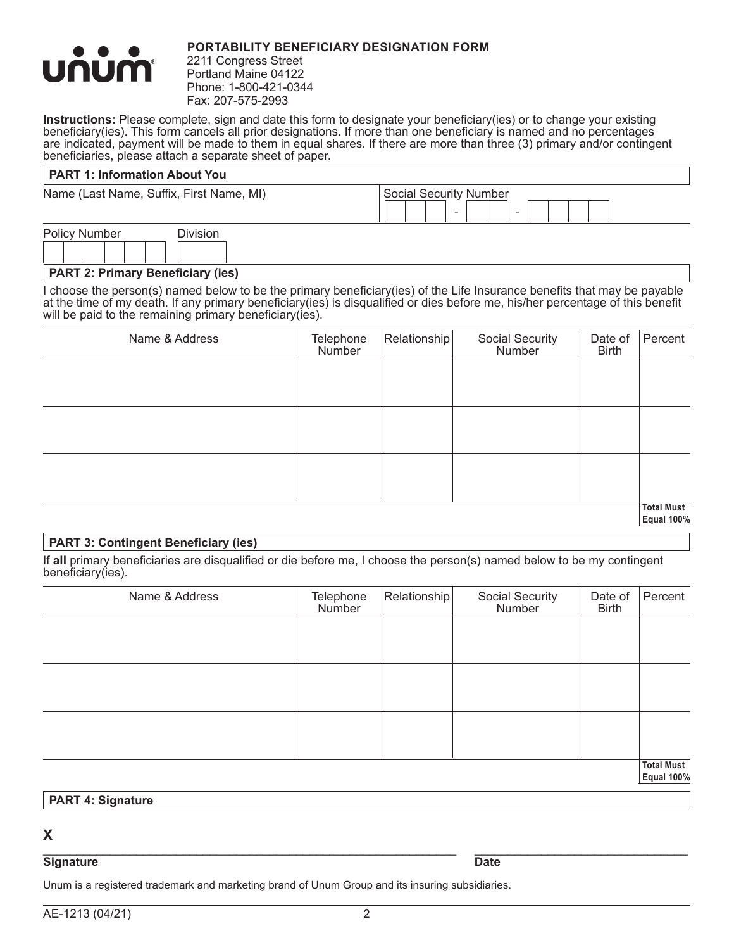

### **PORTABILITY BENEFICIARY DESIGNATION FORM**

2211 Congress Street Portland Maine 04122 Phone: 1-800-421-0344 Fax: 207-575-2993

**Instructions:** Please complete, sign and date this form to designate your beneficiary(ies) or to change your existing beneficiary(ies). This form cancels all prior designations. If more than one beneficiary is named and no percentages are indicated, payment will be made to them in equal shares. If there are more than three (3) primary and/or contingent beneficiaries, please attach a separate sheet of paper.

### **PART 1: Information About You**

Name (Last Name, Suffix, First Name, MI)

| <b>Social Security Number</b> |  |  |  |  |  |
|-------------------------------|--|--|--|--|--|
|                               |  |  |  |  |  |

Ļ

Policy Number Division

**PART 2: Primary Beneficiary (ies)**

I choose the person(s) named below to be the primary beneficiary(ies) of the Life Insurance benefits that may be payable at the time of my death. If any primary beneficiary(ies) is disqualified or dies before me, his/her percentage of this benefit will be paid to the remaining primary beneficiary(ies).

| Name & Address | Telephone<br>Number | Relationship | Social Security<br>Number | Date of<br><b>Birth</b> | Percent           |
|----------------|---------------------|--------------|---------------------------|-------------------------|-------------------|
|                |                     |              |                           |                         |                   |
|                |                     |              |                           |                         |                   |
|                |                     |              |                           |                         |                   |
|                |                     |              |                           |                         |                   |
|                |                     |              |                           |                         |                   |
|                |                     |              |                           |                         |                   |
|                |                     |              |                           |                         | <b>Total Must</b> |

**Equal 100%**

# **PART 3: Contingent Beneficiary (ies)**

If **all** primary beneficiaries are disqualified or die before me, I choose the person(s) named below to be my contingent beneficiary(ies).

| Name & Address | Telephone<br>Number | Relationship | Social Security<br>Number | Date of<br><b>Birth</b> | Percent                                |
|----------------|---------------------|--------------|---------------------------|-------------------------|----------------------------------------|
|                |                     |              |                           |                         |                                        |
|                |                     |              |                           |                         |                                        |
|                |                     |              |                           |                         |                                        |
|                |                     |              |                           |                         |                                        |
|                |                     |              |                           |                         |                                        |
|                |                     |              |                           |                         |                                        |
|                |                     |              |                           |                         | <b>Total Must</b><br><b>Equal 100%</b> |

#### **PART 4: Signature**

# **X**

#### \_\_\_\_\_\_\_\_\_\_\_\_\_\_\_\_\_\_\_\_\_\_\_\_\_\_\_\_\_\_\_\_\_\_\_\_\_\_\_\_\_\_\_\_\_\_\_\_\_\_\_\_\_\_\_\_\_\_\_\_\_\_ \_\_\_\_\_\_\_\_\_\_\_\_\_\_\_\_\_\_\_\_\_\_\_\_\_\_\_\_\_\_\_\_ **Signature Date**

Unum is a registered trademark and marketing brand of Unum Group and its insuring subsidiaries.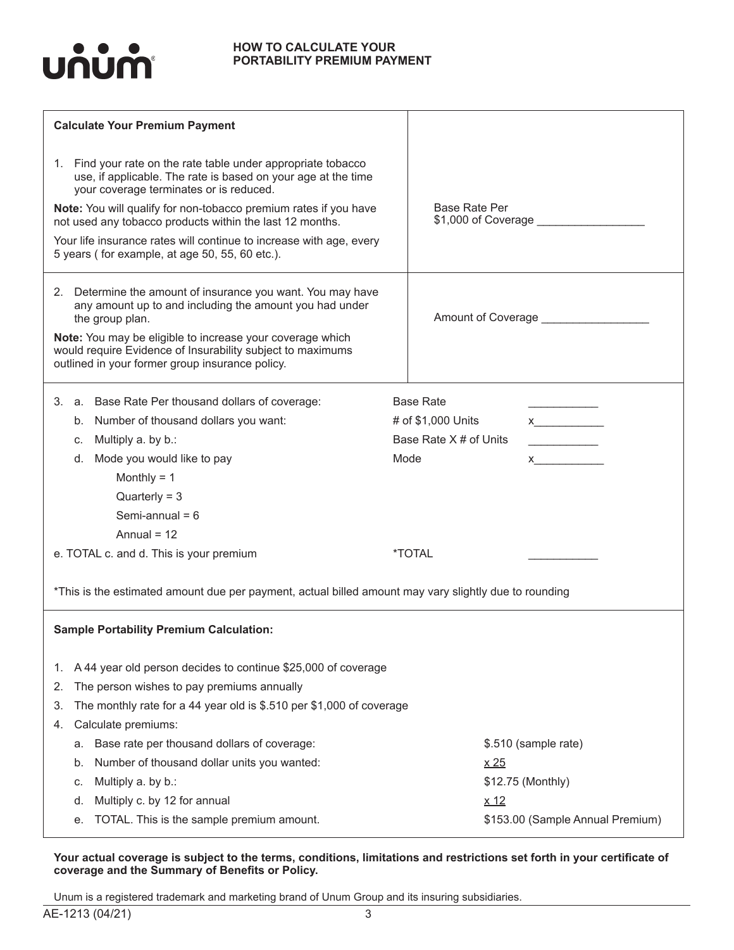

#### **HOW TO CALCULATE YOUR PORTABILITY PREMIUM PAYMENT**

| <b>Calculate Your Premium Payment</b>                                                                                                                                                                                              |                                                                                                                                                                                                                                                     |
|------------------------------------------------------------------------------------------------------------------------------------------------------------------------------------------------------------------------------------|-----------------------------------------------------------------------------------------------------------------------------------------------------------------------------------------------------------------------------------------------------|
| 1. Find your rate on the rate table under appropriate tobacco<br>use, if applicable. The rate is based on your age at the time<br>your coverage terminates or is reduced.                                                          |                                                                                                                                                                                                                                                     |
| Note: You will qualify for non-tobacco premium rates if you have<br>not used any tobacco products within the last 12 months.                                                                                                       | <b>Base Rate Per</b><br>\$1,000 of Coverage ____________                                                                                                                                                                                            |
| Your life insurance rates will continue to increase with age, every<br>5 years (for example, at age 50, 55, 60 etc.).                                                                                                              |                                                                                                                                                                                                                                                     |
| 2. Determine the amount of insurance you want. You may have<br>any amount up to and including the amount you had under<br>the group plan.                                                                                          | Amount of Coverage _______________                                                                                                                                                                                                                  |
| Note: You may be eligible to increase your coverage which<br>would require Evidence of Insurability subject to maximums<br>outlined in your former group insurance policy.                                                         |                                                                                                                                                                                                                                                     |
| 3. a. Base Rate Per thousand dollars of coverage:                                                                                                                                                                                  | <b>Base Rate</b>                                                                                                                                                                                                                                    |
| b. Number of thousand dollars you want:                                                                                                                                                                                            | # of \$1,000 Units<br>$x$ and $x$ and $x$ and $x$ and $x$ and $x$ and $x$ and $x$ and $x$ and $x$ and $x$ and $x$ and $x$ and $x$ and $x$ and $x$ and $x$ and $x$ and $x$ and $x$ and $x$ and $x$ and $x$ and $x$ and $x$ and $x$ and $x$ and $x$ a |
| Multiply a. by b.:<br>C.                                                                                                                                                                                                           | Base Rate X # of Units<br><u> Liberal Maria de la Carlo de la Carlo de la Carlo de la Carlo de la Carlo de la Carlo de la Carlo de la Carlo </u>                                                                                                    |
| Mode you would like to pay<br>d.                                                                                                                                                                                                   | Mode<br>$\boldsymbol{X}$                                                                                                                                                                                                                            |
| Monthly = $1$                                                                                                                                                                                                                      |                                                                                                                                                                                                                                                     |
| $Quarterly = 3$                                                                                                                                                                                                                    |                                                                                                                                                                                                                                                     |
| Semi-annual = $6$                                                                                                                                                                                                                  |                                                                                                                                                                                                                                                     |
| Annual = $12$                                                                                                                                                                                                                      |                                                                                                                                                                                                                                                     |
| e. TOTAL c. and d. This is your premium                                                                                                                                                                                            | <i><b>*TOTAL</b></i>                                                                                                                                                                                                                                |
| *This is the estimated amount due per payment, actual billed amount may vary slightly due to rounding                                                                                                                              |                                                                                                                                                                                                                                                     |
| <b>Sample Portability Premium Calculation:</b>                                                                                                                                                                                     |                                                                                                                                                                                                                                                     |
| A 44 year old person decides to continue \$25,000 of coverage<br>1.<br>The person wishes to pay premiums annually<br>2.<br>The monthly rate for a 44 year old is \$.510 per \$1,000 of coverage<br>З.<br>Calculate premiums:<br>4. |                                                                                                                                                                                                                                                     |
| Base rate per thousand dollars of coverage:<br>а.                                                                                                                                                                                  | \$.510 (sample rate)                                                                                                                                                                                                                                |
| Number of thousand dollar units you wanted:<br>b.                                                                                                                                                                                  | x <sub>25</sub>                                                                                                                                                                                                                                     |
| Multiply a. by b.:<br>C.                                                                                                                                                                                                           | \$12.75 (Monthly)                                                                                                                                                                                                                                   |
| Multiply c. by 12 for annual<br>d.                                                                                                                                                                                                 | x <sub>12</sub>                                                                                                                                                                                                                                     |
| TOTAL. This is the sample premium amount.<br>е.                                                                                                                                                                                    | \$153.00 (Sample Annual Premium)                                                                                                                                                                                                                    |
|                                                                                                                                                                                                                                    |                                                                                                                                                                                                                                                     |

**Your actual coverage is subject to the terms, conditions, limitations and restrictions set forth in your certificate of coverage and the Summary of Benefits or Policy.**

Unum is a registered trademark and marketing brand of Unum Group and its insuring subsidiaries.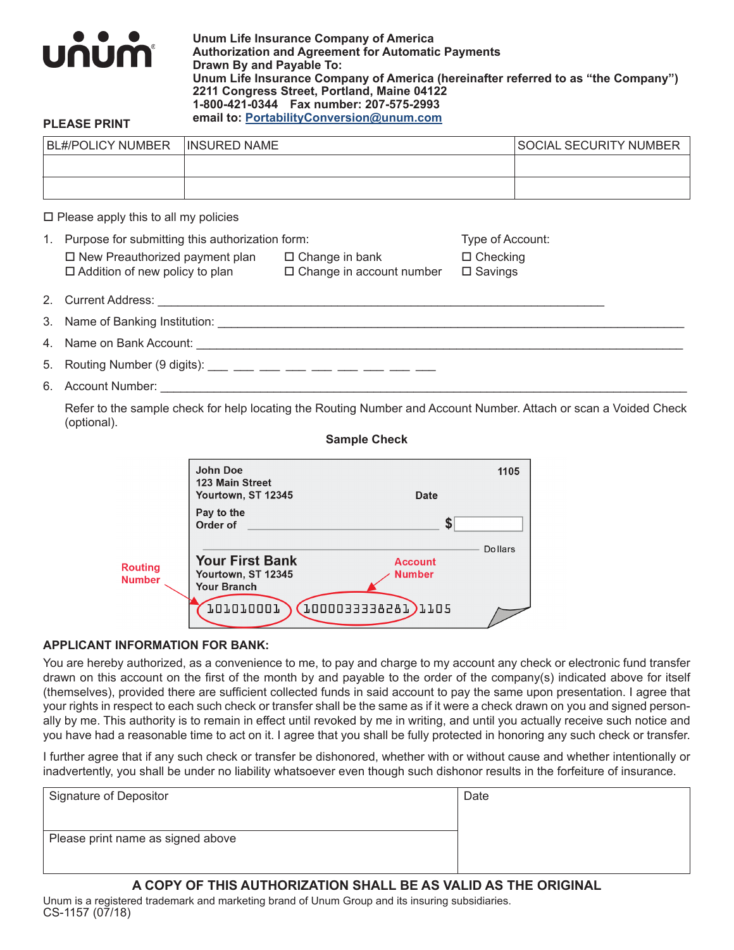

**Unum Life Insurance Company of America Authorization and Agreement for Automatic Payments Drawn By and Payable To: Unum Life Insurance Company of America (hereinafter referred to as "the Company") 2211 Congress Street, Portland, Maine 04122 1-800-421-0344 Fax number: 207-575-2993 email to: PortabilityConversion@unum.com PLEASE PRINT**

| <b>BL#/POLICY NUMBER</b> | <b>INSURED NAME</b> | <b>SOCIAL SECURITY NUMBER</b> |
|--------------------------|---------------------|-------------------------------|
|                          |                     |                               |
|                          |                     |                               |

 $\square$  Please apply this to all my policies

| 1. | Purpose for submitting this authorization form:                                                                  | Type of Account:                                         |                                      |  |  |
|----|------------------------------------------------------------------------------------------------------------------|----------------------------------------------------------|--------------------------------------|--|--|
|    | $\Box$ New Preauthorized payment plan<br>$\Box$ Addition of new policy to plan                                   | $\Box$ Change in bank<br>$\Box$ Change in account number | $\Box$ Checking<br>$\square$ Savings |  |  |
|    |                                                                                                                  |                                                          |                                      |  |  |
|    |                                                                                                                  |                                                          |                                      |  |  |
|    |                                                                                                                  |                                                          |                                      |  |  |
|    | 5. Routing Number (9 digits): ___ __ __ __ __ __ __ __ __ __ __ __                                               |                                                          |                                      |  |  |
|    |                                                                                                                  |                                                          |                                      |  |  |
|    | Refer to the sample check for help locating the Routing Number and Account Number, Attach or scan a Voided Check |                                                          |                                      |  |  |

e cneck for help locating the Routing Number and Account Number. Attach or scan a Voide (optional).

#### **Sample Check**

|                                 | John Doe<br>123 Main Street<br>Yourtown, ST 12345                  | Date                            | 1105           |
|---------------------------------|--------------------------------------------------------------------|---------------------------------|----------------|
|                                 | Pay to the<br>Order of                                             |                                 |                |
| <b>Routing</b><br><b>Number</b> | <b>Your First Bank</b><br>Yourtown, ST 12345<br><b>Your Branch</b> | <b>Account</b><br><b>Number</b> | <b>Dollars</b> |
|                                 | 101010001                                                          | 1000033338281)1105              |                |

#### **APPLICANT INFORMATION FOR BANK:**

You are hereby authorized, as a convenience to me, to pay and charge to my account any check or electronic fund transfer drawn on this account on the first of the month by and payable to the order of the company(s) indicated above for itself (themselves), provided there are sufficient collected funds in said account to pay the same upon presentation. I agree that your rights in respect to each such check or transfer shall be the same as if it were a check drawn on you and signed personally by me. This authority is to remain in effect until revoked by me in writing, and until you actually receive such notice and you have had a reasonable time to act on it. I agree that you shall be fully protected in honoring any such check or transfer.

I further agree that if any such check or transfer be dishonored, whether with or without cause and whether intentionally or inadvertently, you shall be under no liability whatsoever even though such dishonor results in the forfeiture of insurance.

| Signature of Depositor            | Date |
|-----------------------------------|------|
|                                   |      |
| Please print name as signed above |      |
|                                   |      |

# **A COPY OF THIS AUTHORIZATION SHALL BE AS VALID AS THE ORIGINAL**